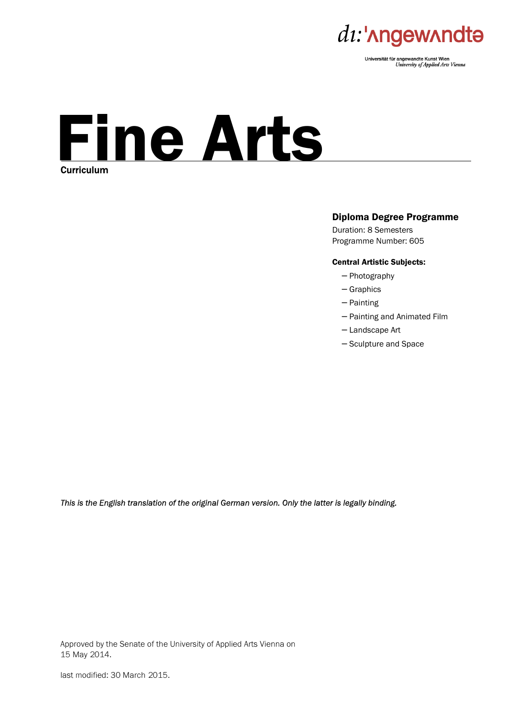

Universität für angewandte Kunst Wien University of Applied Arts Vienna

# Fine Arts **Curriculum**

#### Diploma Degree Programme

Duration: 8 Semesters Programme Number: 605

#### Central Artistic Subjects:

- − Photography
- − Graphics
- − Painting
- − Painting and Animated Film
- − Landscape Art
- − Sculpture and Space

*This is the English translation of the original German version. Only the latter is legally binding.* 

Approved by the Senate of the University of Applied Arts Vienna on 15 May 2014.

last modified: 30 March 2015.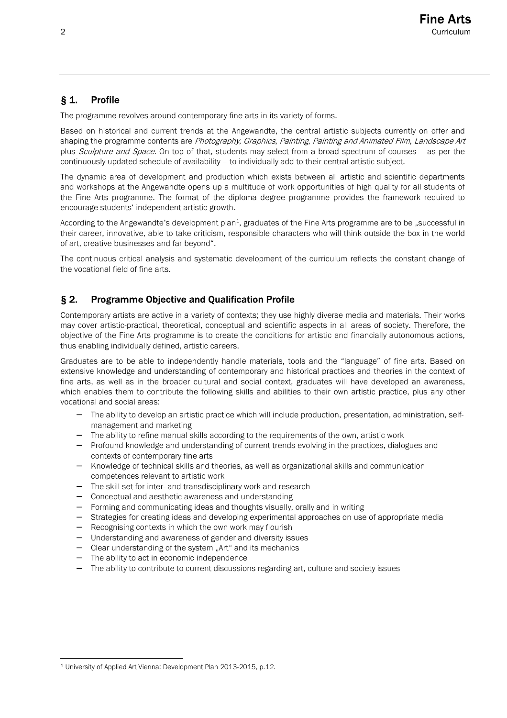# § 1. Profile

The programme revolves around contemporary fine arts in its variety of forms.

Based on historical and current trends at the Angewandte, the central artistic subjects currently on offer and shaping the programme contents are Photography, Graphics, Painting, Painting and Animated Film, Landscape Art plus Sculpture and Space. On top of that, students may select from a broad spectrum of courses - as per the continuously updated schedule of availability – to individually add to their central artistic subject.

The dynamic area of development and production which exists between all artistic and scientific departments and workshops at the Angewandte opens up a multitude of work opportunities of high quality for all students of the Fine Arts programme. The format of the diploma degree programme provides the framework required to encourage students' independent artistic growth.

According to the Angewandte's development plan<sup>1</sup>, graduates of the Fine Arts programme are to be "successful in their career, innovative, able to take criticism, responsible characters who will think outside the box in the world of art, creative businesses and far beyond".

The continuous critical analysis and systematic development of the curriculum reflects the constant change of the vocational field of fine arts.

## § 2. Programme Objective and Qualification Profile

Contemporary artists are active in a variety of contexts; they use highly diverse media and materials. Their works may cover artistic-practical, theoretical, conceptual and scientific aspects in all areas of society. Therefore, the objective of the Fine Arts programme is to create the conditions for artistic and financially autonomous actions, thus enabling individually defined, artistic careers.

Graduates are to be able to independently handle materials, tools and the "language" of fine arts. Based on extensive knowledge and understanding of contemporary and historical practices and theories in the context of fine arts, as well as in the broader cultural and social context, graduates will have developed an awareness, which enables them to contribute the following skills and abilities to their own artistic practice, plus any other vocational and social areas:

- − The ability to develop an artistic practice which will include production, presentation, administration, selfmanagement and marketing
- The ability to refine manual skills according to the requirements of the own, artistic work
- − Profound knowledge and understanding of current trends evolving in the practices, dialogues and contexts of contemporary fine arts
- − Knowledge of technical skills and theories, as well as organizational skills and communication competences relevant to artistic work
- − The skill set for inter- and transdisciplinary work and research
- − Conceptual and aesthetic awareness and understanding
- − Forming and communicating ideas and thoughts visually, orally and in writing
- Strategies for creating ideas and developing experimental approaches on use of appropriate media
- − Recognising contexts in which the own work may flourish
- − Understanding and awareness of gender and diversity issues
- − Clear understanding of the system "Art" and its mechanics
- − The ability to act in economic independence
- − The ability to contribute to current discussions regarding art, culture and society issues

l

<sup>1</sup> University of Applied Art Vienna: Development Plan 2013-2015, p.12.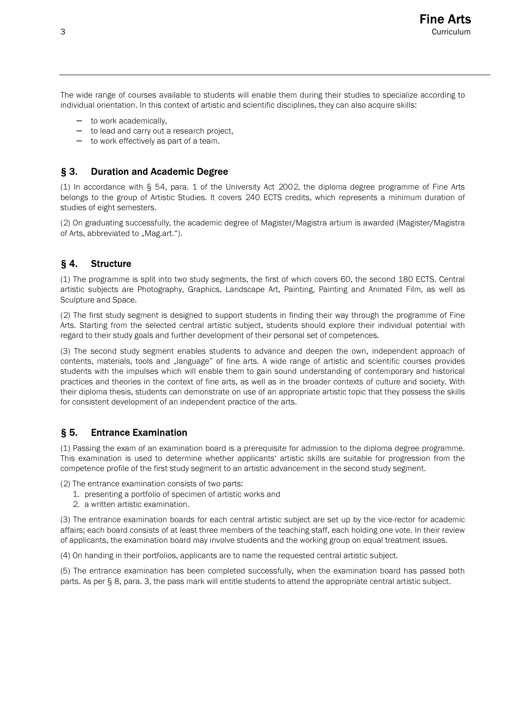The wide range of courses available to students will enable them during their studies to specialize according to individual orientation. In this context of artistic and scientific disciplines, they can also acquire skills:

- − to work academically,
- − to lead and carry out a research project,
- − to work effectively as part of a team.

#### § 3. Duration and Academic Degree

(1) In accordance with § 54, para. 1 of the University Act 2002, the diploma degree programme of Fine Arts belongs to the group of Artistic Studies. It covers 240 ECTS credits, which represents a minimum duration of studies of eight semesters.

(2) On graduating successfully, the academic degree of Magister/Magistra artium is awarded (Magister/Magistra of Arts, abbreviated to "Mag.art.").

## § 4. Structure

(1) The programme is split into two study segments, the first of which covers 60, the second 180 ECTS. Central artistic subjects are Photography, Graphics, Landscape Art, Painting, Painting and Animated Film, as well as Sculpture and Space.

(2) The first study segment is designed to support students in finding their way through the programme of Fine Arts. Starting from the selected central artistic subject, students should explore their individual potential with regard to their study goals and further development of their personal set of competences.

(3) The second study segment enables students to advance and deepen the own, independent approach of contents, materials, tools and "language" of fine arts. A wide range of artistic and scientific courses provides students with the impulses which will enable them to gain sound understanding of contemporary and historical practices and theories in the context of fine arts, as well as in the broader contexts of culture and society. With their diploma thesis, students can demonstrate on use of an appropriate artistic topic that they possess the skills for consistent development of an independent practice of the arts.

## § 5. Entrance Examination

(1) Passing the exam of an examination board is a prerequisite for admission to the diploma degree programme. This examination is used to determine whether applicants' artistic skills are suitable for progression from the competence profile of the first study segment to an artistic advancement in the second study segment.

(2) The entrance examination consists of two parts:

- 1. presenting a portfolio of specimen of artistic works and
- 2. a written artistic examination.

(3) The entrance examination boards for each central artistic subject are set up by the vice-rector for academic affairs; each board consists of at least three members of the teaching staff, each holding one vote. In their review of applicants, the examination board may involve students and the working group on equal treatment issues.

(4) On handing in their portfolios, applicants are to name the requested central artistic subject.

(5) The entrance examination has been completed successfully, when the examination board has passed both parts. As per § 8, para. 3, the pass mark will entitle students to attend the appropriate central artistic subject.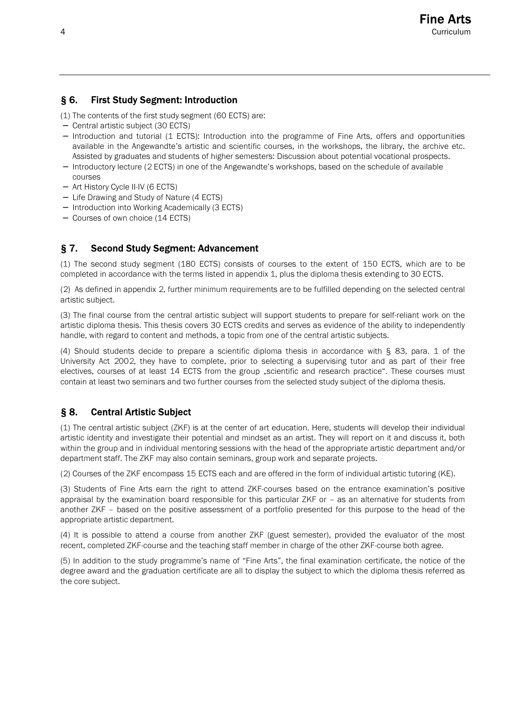# § 6. First Study Segment: Introduction

- (1) The contents of the first study segment (60 ECTS) are:
- − Central artistic subject (30 ECTS)
- − Introduction and tutorial (1 ECTS): Introduction into the programme of Fine Arts, offers and opportunities available in the Angewandte's artistic and scientific courses, in the workshops, the library, the archive etc. Assisted by graduates and students of higher semesters: Discussion about potential vocational prospects.
- − Introductory lecture (2 ECTS) in one of the Angewandte's workshops, based on the schedule of available courses
- − Art History Cycle II-IV (6 ECTS)
- − Life Drawing and Study of Nature (4 ECTS)
- − Introduction into Working Academically (3 ECTS)
- − Courses of own choice (14 ECTS)

# § 7. Second Study Segment: Advancement

(1) The second study segment (180 ECTS) consists of courses to the extent of 150 ECTS, which are to be completed in accordance with the terms listed in appendix 1, plus the diploma thesis extending to 30 ECTS.

(2) As defined in appendix 2, further minimum requirements are to be fulfilled depending on the selected central artistic subject.

(3) The final course from the central artistic subject will support students to prepare for self-reliant work on the artistic diploma thesis. This thesis covers 30 ECTS credits and serves as evidence of the ability to independently handle, with regard to content and methods, a topic from one of the central artistic subjects.

(4) Should students decide to prepare a scientific diploma thesis in accordance with § 83, para. 1 of the University Act 2002, they have to complete, prior to selecting a supervising tutor and as part of their free electives, courses of at least 14 ECTS from the group "scientific and research practice". These courses must contain at least two seminars and two further courses from the selected study subject of the diploma thesis.

# § 8. Central Artistic Subject

(1) The central artistic subject (ZKF) is at the center of art education. Here, students will develop their individual artistic identity and investigate their potential and mindset as an artist. They will report on it and discuss it, both within the group and in individual mentoring sessions with the head of the appropriate artistic department and/or department staff. The ZKF may also contain seminars, group work and separate projects.

(2) Courses of the ZKF encompass 15 ECTS each and are offered in the form of individual artistic tutoring (KE).

(3) Students of Fine Arts earn the right to attend ZKF-courses based on the entrance examination's positive appraisal by the examination board responsible for this particular ZKF or – as an alternative for students from another ZKF – based on the positive assessment of a portfolio presented for this purpose to the head of the appropriate artistic department.

(4) It is possible to attend a course from another ZKF (guest semester), provided the evaluator of the most recent, completed ZKF-course and the teaching staff member in charge of the other ZKF-course both agree.

(5) In addition to the study programme's name of "Fine Arts", the final examination certificate, the notice of the degree award and the graduation certificate are all to display the subject to which the diploma thesis referred as the core subject.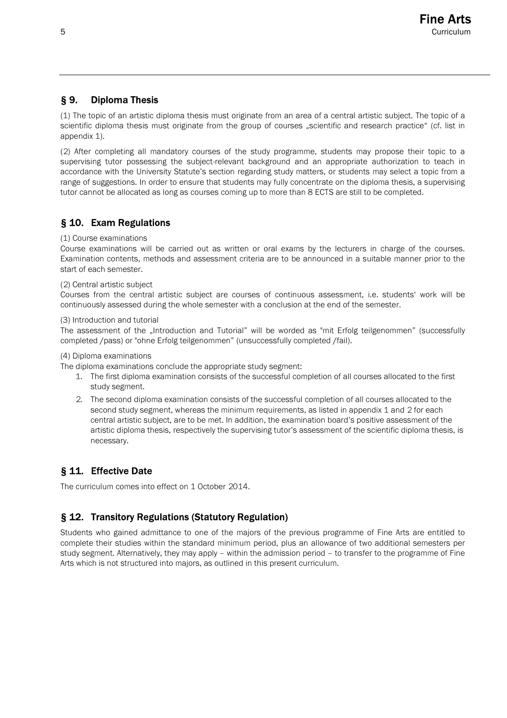# § 9. Diploma Thesis

(1) The topic of an artistic diploma thesis must originate from an area of a central artistic subject. The topic of a scientific diploma thesis must originate from the group of courses "scientific and research practice" (cf. list in appendix 1).

(2) After completing all mandatory courses of the study programme, students may propose their topic to a supervising tutor possessing the subject-relevant background and an appropriate authorization to teach in accordance with the University Statute's section regarding study matters, or students may select a topic from a range of suggestions. In order to ensure that students may fully concentrate on the diploma thesis, a supervising tutor cannot be allocated as long as courses coming up to more than 8 ECTS are still to be completed.

# § 10. Exam Regulations

#### (1) Course examinations

Course examinations will be carried out as written or oral exams by the lecturers in charge of the courses. Examination contents, methods and assessment criteria are to be announced in a suitable manner prior to the start of each semester.

#### (2) Central artistic subject

Courses from the central artistic subject are courses of continuous assessment, i.e. students' work will be continuously assessed during the whole semester with a conclusion at the end of the semester.

#### (3) Introduction and tutorial

The assessment of the "Introduction and Tutorial" will be worded as "mit Erfolg teilgenommen" (successfully completed /pass) or "ohne Erfolg teilgenommen" (unsuccessfully completed /fail).

(4) Diploma examinations

The diploma examinations conclude the appropriate study segment:

- 1. The first diploma examination consists of the successful completion of all courses allocated to the first study segment.
- 2. The second diploma examination consists of the successful completion of all courses allocated to the second study segment, whereas the minimum requirements, as listed in appendix 1 and 2 for each central artistic subject, are to be met. In addition, the examination board's positive assessment of the artistic diploma thesis, respectively the supervising tutor's assessment of the scientific diploma thesis, is necessary.

# § 11. Effective Date

The curriculum comes into effect on 1 October 2014.

## § 12. Transitory Regulations (Statutory Regulation)

Students who gained admittance to one of the majors of the previous programme of Fine Arts are entitled to complete their studies within the standard minimum period, plus an allowance of two additional semesters per study segment. Alternatively, they may apply – within the admission period – to transfer to the programme of Fine Arts which is not structured into majors, as outlined in this present curriculum.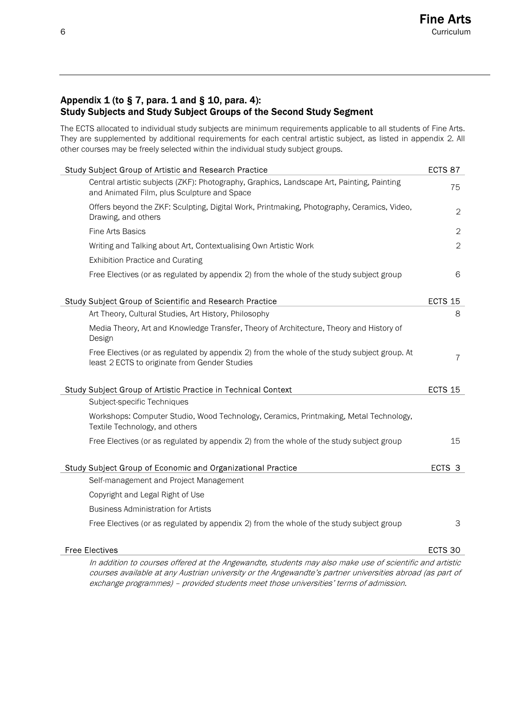## Appendix  $1$  (to § 7, para. 1 and § 10, para. 4): Study Subjects and Study Subject Groups of the Second Study Segment

The ECTS allocated to individual study subjects are minimum requirements applicable to all students of Fine Arts. They are supplemented by additional requirements for each central artistic subject, as listed in appendix 2. All other courses may be freely selected within the individual study subject groups.

| Study Subject Group of Artistic and Research Practice                                                                                         |                    |  |
|-----------------------------------------------------------------------------------------------------------------------------------------------|--------------------|--|
| Central artistic subjects (ZKF): Photography, Graphics, Landscape Art, Painting, Painting<br>and Animated Film, plus Sculpture and Space      | 75                 |  |
| Offers beyond the ZKF: Sculpting, Digital Work, Printmaking, Photography, Ceramics, Video,<br>Drawing, and others                             | 2                  |  |
| <b>Fine Arts Basics</b>                                                                                                                       | $\overline{2}$     |  |
| Writing and Talking about Art, Contextualising Own Artistic Work                                                                              | $\overline{2}$     |  |
| <b>Exhibition Practice and Curating</b>                                                                                                       |                    |  |
| Free Electives (or as regulated by appendix 2) from the whole of the study subject group                                                      | 6                  |  |
| Study Subject Group of Scientific and Research Practice                                                                                       | ECTS <sub>15</sub> |  |
| Art Theory, Cultural Studies, Art History, Philosophy                                                                                         | 8                  |  |
| Media Theory, Art and Knowledge Transfer, Theory of Architecture, Theory and History of<br>Design                                             |                    |  |
| Free Electives (or as regulated by appendix 2) from the whole of the study subject group. At<br>least 2 ECTS to originate from Gender Studies | $\overline{7}$     |  |
| Study Subject Group of Artistic Practice in Technical Context                                                                                 | <b>ECTS 15</b>     |  |
| Subject-specific Techniques                                                                                                                   |                    |  |
| Workshops: Computer Studio, Wood Technology, Ceramics, Printmaking, Metal Technology,<br>Textile Technology, and others                       |                    |  |
| Free Electives (or as regulated by appendix 2) from the whole of the study subject group                                                      | 15                 |  |
| Study Subject Group of Economic and Organizational Practice                                                                                   | ECTS 3             |  |
| Self-management and Project Management                                                                                                        |                    |  |
| Copyright and Legal Right of Use                                                                                                              |                    |  |
| <b>Business Administration for Artists</b>                                                                                                    |                    |  |
| Free Electives (or as regulated by appendix 2) from the whole of the study subject group                                                      | 3                  |  |
| <b>Free Electives</b>                                                                                                                         | ECTS 30            |  |

In addition to courses offered at the Angewandte, students may also make use of scientific and artistic courses available at any Austrian university or the Angewandte's partner universities abroad (as part of exchange programmes) – provided students meet those universities' terms of admission.